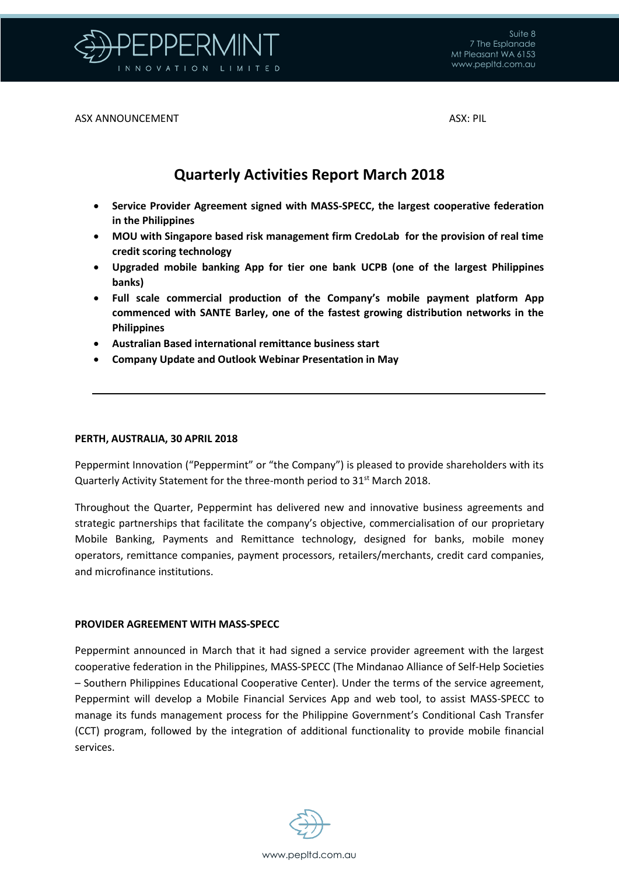

ASX ANNOUNCEMENT ASX: PIL

## **Quarterly Activities Report March 2018**

- **Service Provider Agreement signed with MASS-SPECC, the largest cooperative federation in the Philippines**
- **MOU with Singapore based risk management firm CredoLab for the provision of real time credit scoring technology**
- **Upgraded mobile banking App for tier one bank UCPB (one of the largest Philippines banks)**
- **Full scale commercial production of the Company's mobile payment platform App commenced with SANTE Barley, one of the fastest growing distribution networks in the Philippines**
- **Australian Based international remittance business start**
- **Company Update and Outlook Webinar Presentation in May**

#### **PERTH, AUSTRALIA, 30 APRIL 2018**

Peppermint Innovation ("Peppermint" or "the Company") is pleased to provide shareholders with its Quarterly Activity Statement for the three-month period to 31<sup>st</sup> March 2018.

Throughout the Quarter, Peppermint has delivered new and innovative business agreements and strategic partnerships that facilitate the company's objective, commercialisation of our proprietary Mobile Banking, Payments and Remittance technology, designed for banks, mobile money operators, remittance companies, payment processors, retailers/merchants, credit card companies, and microfinance institutions.

#### **PROVIDER AGREEMENT WITH MASS-SPECC**

Peppermint announced in March that it had signed a service provider agreement with the largest cooperative federation in the Philippines, MASS-SPECC (The Mindanao Alliance of Self-Help Societies – Southern Philippines Educational Cooperative Center). Under the terms of the service agreement, Peppermint will develop a Mobile Financial Services App and web tool, to assist MASS-SPECC to manage its funds management process for the Philippine Government's Conditional Cash Transfer (CCT) program, followed by the integration of additional functionality to provide mobile financial services.

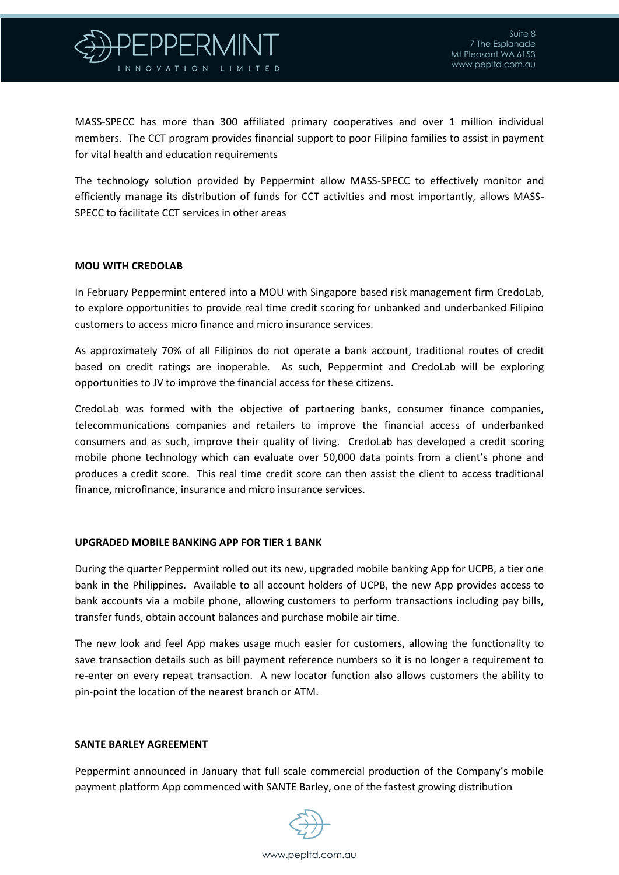

MASS-SPECC has more than 300 affiliated primary cooperatives and over 1 million individual members. The CCT program provides financial support to poor Filipino families to assist in payment for vital health and education requirements

The technology solution provided by Peppermint allow MASS-SPECC to effectively monitor and efficiently manage its distribution of funds for CCT activities and most importantly, allows MASS-SPECC to facilitate CCT services in other areas

#### **MOU WITH CREDOLAB**

In February Peppermint entered into a MOU with Singapore based risk management firm CredoLab, to explore opportunities to provide real time credit scoring for unbanked and underbanked Filipino customers to access micro finance and micro insurance services.

As approximately 70% of all Filipinos do not operate a bank account, traditional routes of credit based on credit ratings are inoperable. As such, Peppermint and CredoLab will be exploring opportunities to JV to improve the financial access for these citizens.

CredoLab was formed with the objective of partnering banks, consumer finance companies, telecommunications companies and retailers to improve the financial access of underbanked consumers and as such, improve their quality of living. CredoLab has developed a credit scoring mobile phone technology which can evaluate over 50,000 data points from a client's phone and produces a credit score. This real time credit score can then assist the client to access traditional finance, microfinance, insurance and micro insurance services.

#### **UPGRADED MOBILE BANKING APP FOR TIER 1 BANK**

During the quarter Peppermint rolled out its new, upgraded mobile banking App for UCPB, a tier one bank in the Philippines. Available to all account holders of UCPB, the new App provides access to bank accounts via a mobile phone, allowing customers to perform transactions including pay bills, transfer funds, obtain account balances and purchase mobile air time.

The new look and feel App makes usage much easier for customers, allowing the functionality to save transaction details such as bill payment reference numbers so it is no longer a requirement to re-enter on every repeat transaction. A new locator function also allows customers the ability to pin-point the location of the nearest branch or ATM.

#### **SANTE BARLEY AGREEMENT**

Peppermint announced in January that full scale commercial production of the Company's mobile payment platform App commenced with SANTE Barley, one of the fastest growing distribution

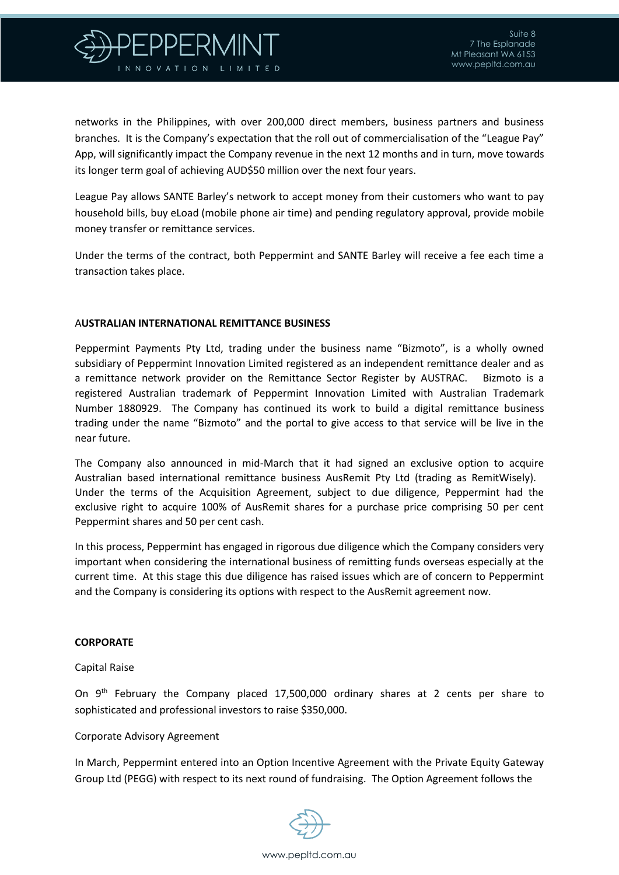

networks in the Philippines, with over 200,000 direct members, business partners and business branches. It is the Company's expectation that the roll out of commercialisation of the "League Pay" App, will significantly impact the Company revenue in the next 12 months and in turn, move towards its longer term goal of achieving AUD\$50 million over the next four years.

League Pay allows SANTE Barley's network to accept money from their customers who want to pay household bills, buy eLoad (mobile phone air time) and pending regulatory approval, provide mobile money transfer or remittance services.

Under the terms of the contract, both Peppermint and SANTE Barley will receive a fee each time a transaction takes place.

#### A**USTRALIAN INTERNATIONAL REMITTANCE BUSINESS**

Peppermint Payments Pty Ltd, trading under the business name "Bizmoto", is a wholly owned subsidiary of Peppermint Innovation Limited registered as an independent remittance dealer and as a remittance network provider on the Remittance Sector Register by AUSTRAC. Bizmoto is a registered Australian trademark of Peppermint Innovation Limited with Australian Trademark Number 1880929. The Company has continued its work to build a digital remittance business trading under the name "Bizmoto" and the portal to give access to that service will be live in the near future.

The Company also announced in mid-March that it had signed an exclusive option to acquire Australian based international remittance business AusRemit Pty Ltd (trading as RemitWisely). Under the terms of the Acquisition Agreement, subject to due diligence, Peppermint had the exclusive right to acquire 100% of AusRemit shares for a purchase price comprising 50 per cent Peppermint shares and 50 per cent cash.

In this process, Peppermint has engaged in rigorous due diligence which the Company considers very important when considering the international business of remitting funds overseas especially at the current time. At this stage this due diligence has raised issues which are of concern to Peppermint and the Company is considering its options with respect to the AusRemit agreement now.

#### **CORPORATE**

#### Capital Raise

On 9th February the Company placed 17,500,000 ordinary shares at 2 cents per share to sophisticated and professional investors to raise \$350,000.

#### Corporate Advisory Agreement

In March, Peppermint entered into an Option Incentive Agreement with the Private Equity Gateway Group Ltd (PEGG) with respect to its next round of fundraising. The Option Agreement follows the

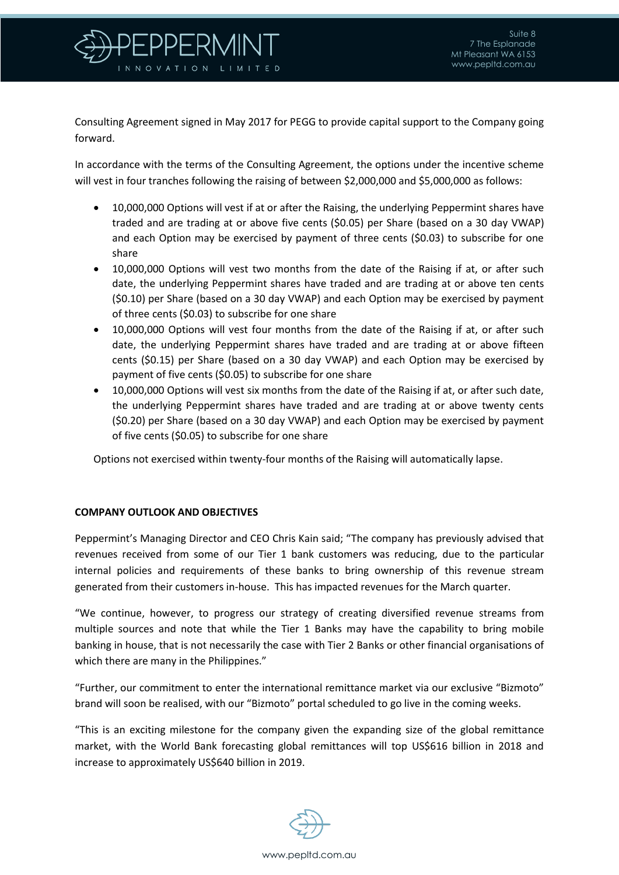

Consulting Agreement signed in May 2017 for PEGG to provide capital support to the Company going forward.

In accordance with the terms of the Consulting Agreement, the options under the incentive scheme will vest in four tranches following the raising of between \$2,000,000 and \$5,000,000 as follows:

- 10,000,000 Options will vest if at or after the Raising, the underlying Peppermint shares have traded and are trading at or above five cents (\$0.05) per Share (based on a 30 day VWAP) and each Option may be exercised by payment of three cents (\$0.03) to subscribe for one share
- 10,000,000 Options will vest two months from the date of the Raising if at, or after such date, the underlying Peppermint shares have traded and are trading at or above ten cents (\$0.10) per Share (based on a 30 day VWAP) and each Option may be exercised by payment of three cents (\$0.03) to subscribe for one share
- 10,000,000 Options will vest four months from the date of the Raising if at, or after such date, the underlying Peppermint shares have traded and are trading at or above fifteen cents (\$0.15) per Share (based on a 30 day VWAP) and each Option may be exercised by payment of five cents (\$0.05) to subscribe for one share
- 10,000,000 Options will vest six months from the date of the Raising if at, or after such date, the underlying Peppermint shares have traded and are trading at or above twenty cents (\$0.20) per Share (based on a 30 day VWAP) and each Option may be exercised by payment of five cents (\$0.05) to subscribe for one share

Options not exercised within twenty-four months of the Raising will automatically lapse.

#### **COMPANY OUTLOOK AND OBJECTIVES**

Peppermint's Managing Director and CEO Chris Kain said; "The company has previously advised that revenues received from some of our Tier 1 bank customers was reducing, due to the particular internal policies and requirements of these banks to bring ownership of this revenue stream generated from their customers in-house. This has impacted revenues for the March quarter.

"We continue, however, to progress our strategy of creating diversified revenue streams from multiple sources and note that while the Tier 1 Banks may have the capability to bring mobile banking in house, that is not necessarily the case with Tier 2 Banks or other financial organisations of which there are many in the Philippines."

"Further, our commitment to enter the international remittance market via our exclusive "Bizmoto" brand will soon be realised, with our "Bizmoto" portal scheduled to go live in the coming weeks.

"This is an exciting milestone for the company given the expanding size of the global remittance market, with the World Bank forecasting global remittances will top US\$616 billion in 2018 and increase to approximately US\$640 billion in 2019.

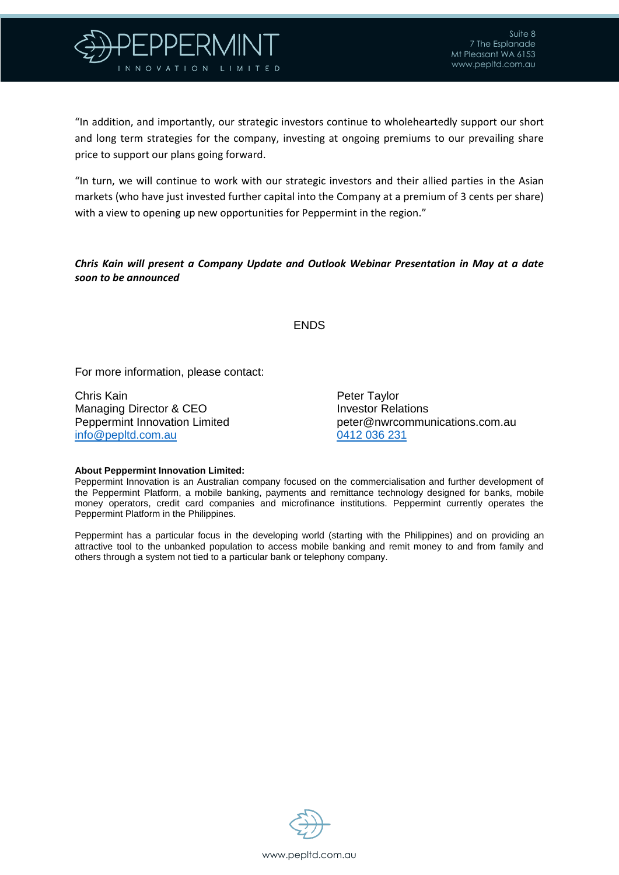

"In addition, and importantly, our strategic investors continue to wholeheartedly support our short and long term strategies for the company, investing at ongoing premiums to our prevailing share price to support our plans going forward.

"In turn, we will continue to work with our strategic investors and their allied parties in the Asian markets (who have just invested further capital into the Company at a premium of 3 cents per share) with a view to opening up new opportunities for Peppermint in the region."

### *Chris Kain will present a Company Update and Outlook Webinar Presentation in May at a date soon to be announced*

#### ENDS

For more information, please contact:

Chris Kain **Peter Taylor** Peter Taylor Managing Director & CEO **Investor Relations** [info@pepltd.com.au](mailto:info@pepltd.com.au) 0412 036 231

Peppermint Innovation Limited peter@nwrcommunications.com.au

#### **About Peppermint Innovation Limited:**

Peppermint Innovation is an Australian company focused on the commercialisation and further development of the Peppermint Platform, a mobile banking, payments and remittance technology designed for banks, mobile money operators, credit card companies and microfinance institutions. Peppermint currently operates the Peppermint Platform in the Philippines.

Peppermint has a particular focus in the developing world (starting with the Philippines) and on providing an attractive tool to the unbanked population to access mobile banking and remit money to and from family and others through a system not tied to a particular bank or telephony company.

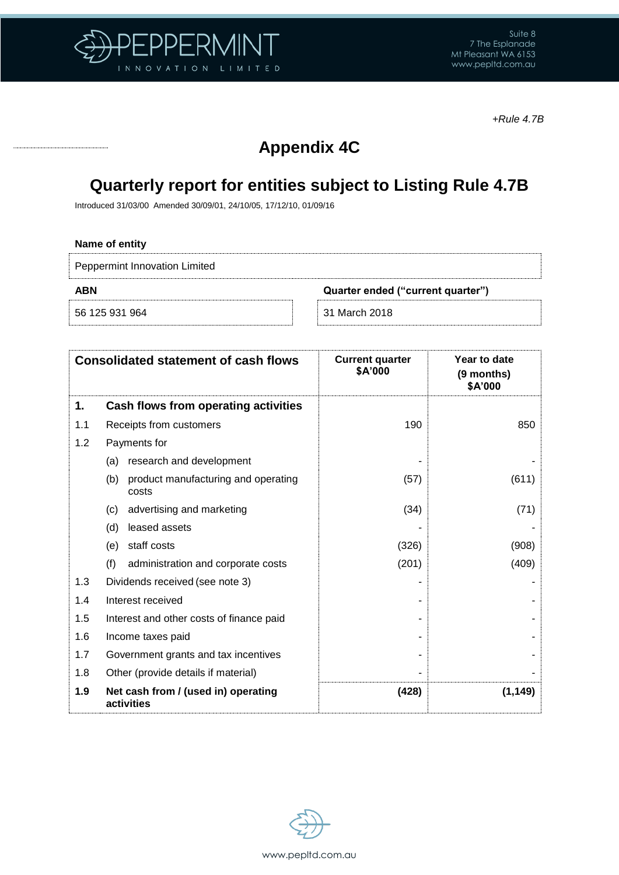

*+Rule 4.7B*

# **Appendix 4C**

# **Quarterly report for entities subject to Listing Rule 4.7B**

Introduced 31/03/00 Amended 30/09/01, 24/10/05, 17/12/10, 01/09/16

### **Name of entity**

Peppermint Innovation Limited

56 125 931 964 31 March 2018

**ABN Quarter ended ("current quarter")**

| <b>Consolidated statement of cash flows</b> |                                                     | <b>Current quarter</b><br>\$A'000 | Year to date<br>(9 months)<br>\$A'000 |  |
|---------------------------------------------|-----------------------------------------------------|-----------------------------------|---------------------------------------|--|
| 1.                                          | Cash flows from operating activities                |                                   |                                       |  |
| 1.1                                         | Receipts from customers                             | 190                               | 850                                   |  |
| 1.2                                         | Payments for                                        |                                   |                                       |  |
|                                             | research and development<br>(a)                     |                                   |                                       |  |
|                                             | product manufacturing and operating<br>(b)<br>costs | (57)                              | (611)                                 |  |
|                                             | advertising and marketing<br>(c)                    | (34)                              | (71)                                  |  |
|                                             | leased assets<br>(d)                                |                                   |                                       |  |
|                                             | staff costs<br>(e)                                  | (326)                             | (908)                                 |  |
|                                             | (f)<br>administration and corporate costs           | (201)                             | (409)                                 |  |
| 1.3                                         | Dividends received (see note 3)                     |                                   |                                       |  |
| 1.4                                         | Interest received                                   |                                   |                                       |  |
| 1.5                                         | Interest and other costs of finance paid            |                                   |                                       |  |
| 1.6                                         | Income taxes paid                                   |                                   |                                       |  |
| 1.7                                         | Government grants and tax incentives                |                                   |                                       |  |
| 1.8                                         | Other (provide details if material)                 |                                   |                                       |  |
| 1.9                                         | Net cash from / (used in) operating<br>activities   | (428)                             | (1, 149)                              |  |

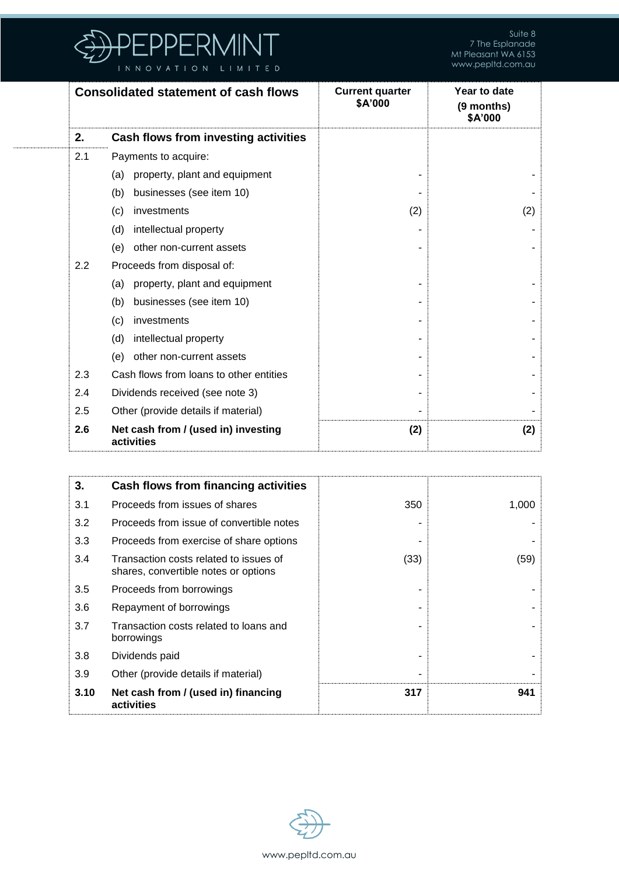

Suite 8 7 The Esplanade Mt Pleasant WA 6153 www.pepltd.com.au

| <b>Consolidated statement of cash flows</b> |                                                   | <b>Current quarter</b><br>\$A'000 | Year to date<br>(9 months)<br>\$A'000 |
|---------------------------------------------|---------------------------------------------------|-----------------------------------|---------------------------------------|
| 2.                                          | Cash flows from investing activities              |                                   |                                       |
| 2.1                                         | Payments to acquire:                              |                                   |                                       |
|                                             | property, plant and equipment<br>(a)              |                                   |                                       |
|                                             | businesses (see item 10)<br>(b)                   |                                   |                                       |
|                                             | (c)<br>investments                                | (2)                               | (2)                                   |
|                                             | intellectual property<br>(d)                      |                                   |                                       |
|                                             | other non-current assets<br>(e)                   |                                   |                                       |
| 2.2                                         | Proceeds from disposal of:                        |                                   |                                       |
|                                             | property, plant and equipment<br>(a)              |                                   |                                       |
|                                             | businesses (see item 10)<br>(b)                   |                                   |                                       |
|                                             | investments<br>(c)                                |                                   |                                       |
|                                             | intellectual property<br>(d)                      |                                   |                                       |
|                                             | other non-current assets<br>(e)                   |                                   |                                       |
| 2.3                                         | Cash flows from loans to other entities           |                                   |                                       |
| 2.4                                         | Dividends received (see note 3)                   |                                   |                                       |
| 2.5                                         | Other (provide details if material)               |                                   |                                       |
| 2.6                                         | Net cash from / (used in) investing<br>activities | (2)                               | (2)                                   |

| 3.   | Cash flows from financing activities                                           |      |       |
|------|--------------------------------------------------------------------------------|------|-------|
| 3.1  | Proceeds from issues of shares                                                 | 350  | 1,000 |
| 3.2  | Proceeds from issue of convertible notes                                       |      |       |
| 3.3  | Proceeds from exercise of share options                                        |      |       |
| 3.4  | Transaction costs related to issues of<br>shares, convertible notes or options | (33) | (59)  |
| 3.5  | Proceeds from borrowings                                                       |      |       |
| 3.6  | Repayment of borrowings                                                        |      |       |
| 3.7  | Transaction costs related to loans and<br>borrowings                           |      |       |
| 3.8  | Dividends paid                                                                 |      |       |
| 3.9  | Other (provide details if material)                                            |      |       |
| 3.10 | Net cash from / (used in) financing<br>activities                              | 317  | 941   |

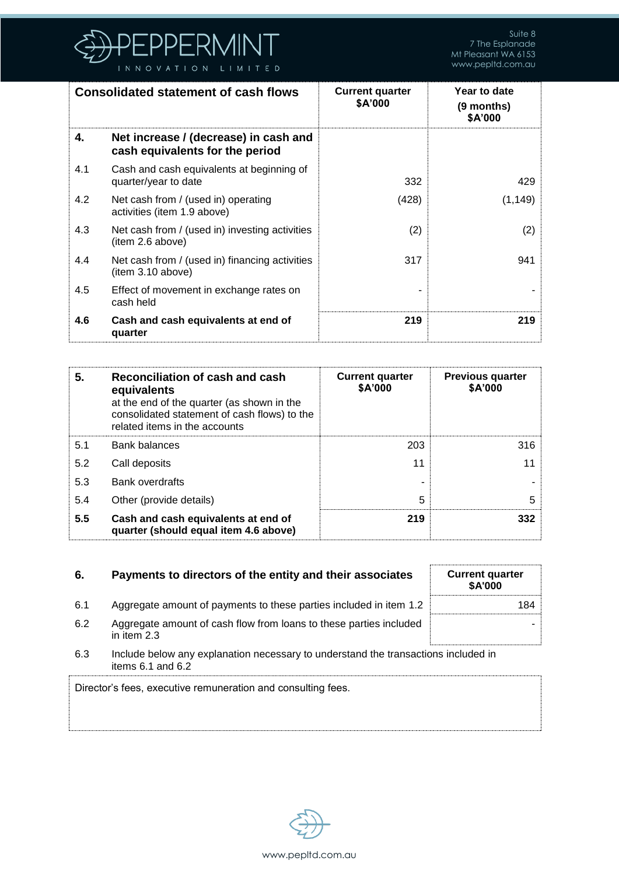

| <b>Consolidated statement of cash flows</b> |                                                                          | <b>Current quarter</b><br>\$A'000 | Year to date<br>(9 months)<br>\$A'000 |
|---------------------------------------------|--------------------------------------------------------------------------|-----------------------------------|---------------------------------------|
| 4.                                          | Net increase / (decrease) in cash and<br>cash equivalents for the period |                                   |                                       |
| 4.1                                         | Cash and cash equivalents at beginning of<br>quarter/year to date        | 332                               | 429                                   |
| 4.2                                         | Net cash from / (used in) operating<br>activities (item 1.9 above)       | (428)                             | (1, 149)                              |
| 4.3                                         | Net cash from / (used in) investing activities<br>(item 2.6 above)       | (2)                               | (2)                                   |
| 4.4                                         | Net cash from / (used in) financing activities<br>item 3.10 above)       | 317                               | 941                                   |
| 4.5                                         | Effect of movement in exchange rates on<br>cash held                     |                                   |                                       |
| 4.6                                         | Cash and cash equivalents at end of<br>quarter                           | 219                               | 219                                   |

| 5.  | Reconciliation of cash and cash<br>equivalents<br>at the end of the quarter (as shown in the<br>consolidated statement of cash flows) to the<br>related items in the accounts | <b>Current quarter</b><br>\$A'000 | <b>Previous quarter</b><br>\$A'000 |
|-----|-------------------------------------------------------------------------------------------------------------------------------------------------------------------------------|-----------------------------------|------------------------------------|
| 5.1 | Bank balances                                                                                                                                                                 | 203                               | 316                                |
| 5.2 | Call deposits                                                                                                                                                                 | 11                                | 11                                 |
| 5.3 | Bank overdrafts                                                                                                                                                               |                                   |                                    |
| 5.4 | Other (provide details)                                                                                                                                                       | 5                                 | 5                                  |
| 5.5 | Cash and cash equivalents at end of<br>quarter (should equal item 4.6 above)                                                                                                  | 219                               | 332                                |

| 6.                                                                                                                 | Payments to directors of the entity and their associates                          | <b>Current quarter</b><br><b>\$A'000</b> |  |
|--------------------------------------------------------------------------------------------------------------------|-----------------------------------------------------------------------------------|------------------------------------------|--|
| 6.1                                                                                                                | Aggregate amount of payments to these parties included in item 1.2                | 184.                                     |  |
| 6.2                                                                                                                | Aggregate amount of cash flow from loans to these parties included<br>in item 2.3 |                                          |  |
| 6.3<br>Include below any explanation necessary to understand the transactions included in<br>items $6.1$ and $6.2$ |                                                                                   |                                          |  |
|                                                                                                                    | Director's fees, executive remuneration and consulting fees.                      |                                          |  |

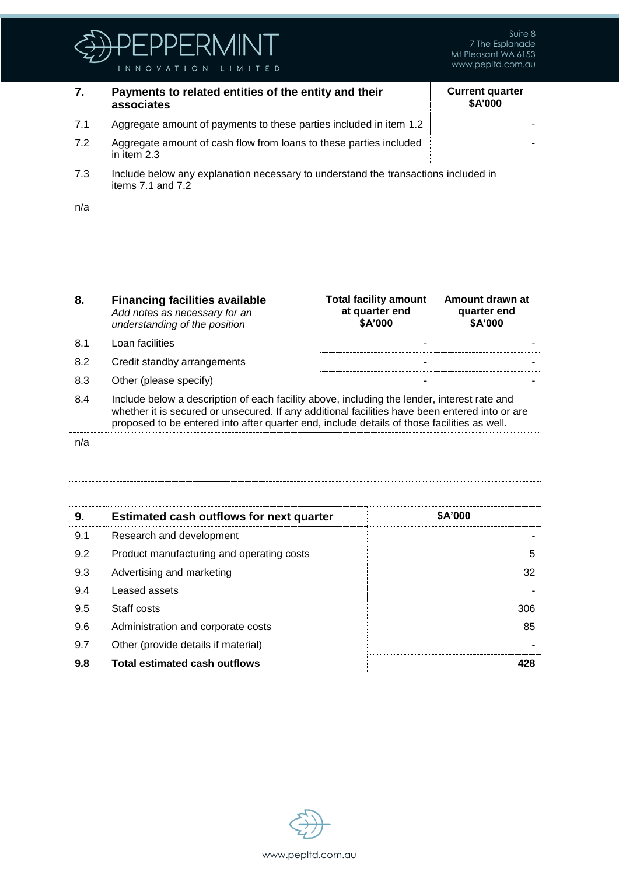

## **7. Payments to related entities of the entity and their associates**

| <b>Current quarter</b><br>\$A'000 |  |  |  |  |
|-----------------------------------|--|--|--|--|
|                                   |  |  |  |  |
|                                   |  |  |  |  |
|                                   |  |  |  |  |

**Amount drawn at quarter end \$A'000**

- 7.1 Aggregate amount of payments to these parties included in item 1.2 7.2 Aggregate amount of cash flow from loans to these parties included
- 7.3 Include below any explanation necessary to understand the transactions included in items 7.1 and 7.2

| n/a |  |
|-----|--|
|     |  |
|     |  |

#### **8. Financing facilities available** *Add notes as necessary for an understanding of the position*

8.1 Loan facilities - -

in item 2.3

- 
- 
- 8.2 Credit standby arrangements and the standard standard standard standard standard standard standard standard standard standard standard standard standard standard standard standard standard standard standard standard st 8.3 Other (please specify) and the set of the set of the set of the set of the set of the set of the set of the set of the set of the set of the set of the set of the set of the set of the set of the set of the set of the 8.4 Include below a description of each facility above, including the lender, interest rate and

**Total facility amount at quarter end \$A'000** 

whether it is secured or unsecured. If any additional facilities have been entered into or are proposed to be entered into after quarter end, include details of those facilities as well.

## n/a

| 9.  | <b>Estimated cash outflows for next quarter</b> | <b>\$A'000</b> |
|-----|-------------------------------------------------|----------------|
| 9.1 | Research and development                        |                |
| 9.2 | Product manufacturing and operating costs       | 5              |
| 9.3 | Advertising and marketing                       | 32             |
| 9.4 | Leased assets                                   |                |
| 9.5 | Staff costs                                     | 306            |
| 9.6 | Administration and corporate costs              | 85             |
| 9.7 | Other (provide details if material)             |                |
| 9.8 | <b>Total estimated cash outflows</b>            | 428            |